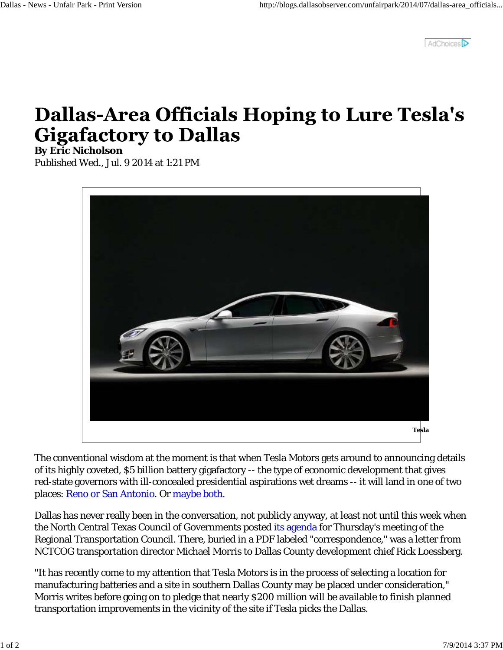AdChoices<sup>D</sup>

## **Dallas-Area Officials Hoping to Lure Tesla's Gigafactory to Dallas**

**By Eric Nicholson**

Published Wed., Jul. 9 2014 at 1:21 PM



The conventional wisdom at the moment is that when Tesla Motors gets around to announcing details of its highly coveted, \$5 billion battery gigafactory -- the type of economic development that gives red-state governors with ill-concealed presidential aspirations wet dreams -- it will land in one of two places: Reno or San Antonio. Or maybe both.

Dallas has never really been in the conversation, not publicly anyway, at least not until this week when the North Central Texas Council of Governments posted its agenda for Thursday's meeting of the Regional Transportation Council. There, buried in a PDF labeled "correspondence," was a letter from NCTCOG transportation director Michael Morris to Dallas County development chief Rick Loessberg.

"It has recently come to my attention that Tesla Motors is in the process of selecting a location for manufacturing batteries and a site in southern Dallas County may be placed under consideration," Morris writes before going on to pledge that nearly \$200 million will be available to finish planned transportation improvements in the vicinity of the site if Tesla picks the Dallas.